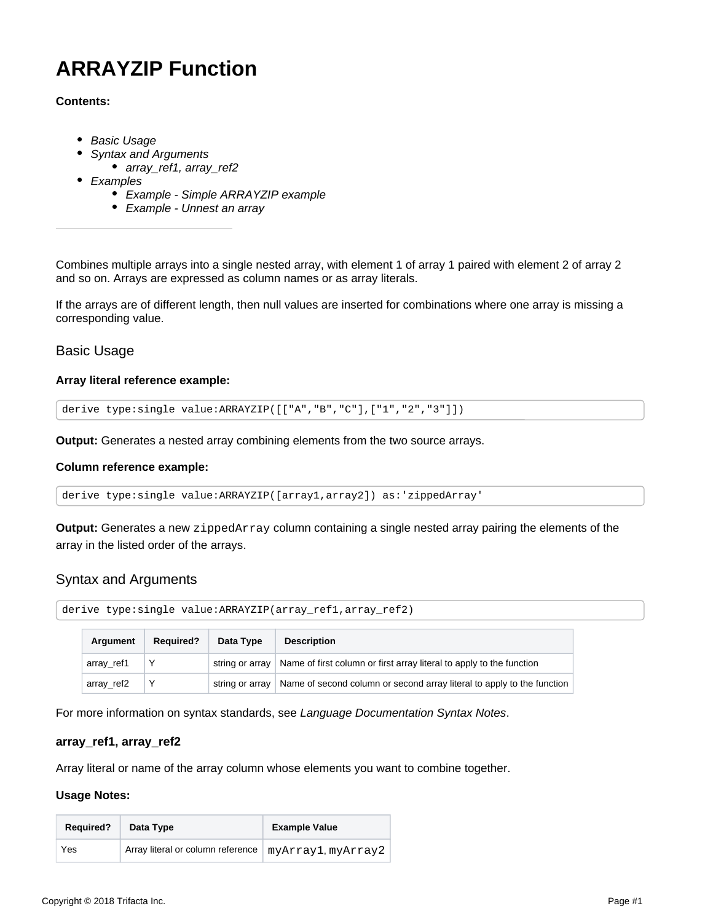# **ARRAYZIP Function**

## **Contents:**

- [Basic Usage](#page-0-0)
- [Syntax and Arguments](#page-0-1)
	- [array\\_ref1, array\\_ref2](#page-0-2)
- [Examples](#page-0-3)
	- [Example Simple ARRAYZIP example](#page-1-0)
	- [Example Unnest an array](#page-1-1)

Combines multiple arrays into a single nested array, with element 1 of array 1 paired with element 2 of array 2 and so on. Arrays are expressed as column names or as array literals.

If the arrays are of different length, then null values are inserted for combinations where one array is missing a corresponding value.

## <span id="page-0-0"></span>Basic Usage

### **Array literal reference example:**

derive type:single value:ARRAYZIP([["A","B","C"],["1","2","3"]])

**Output:** Generates a nested array combining elements from the two source arrays.

### **Column reference example:**

derive type:single value:ARRAYZIP([array1,array2]) as:'zippedArray'

**Output:** Generates a new zippedArray column containing a single nested array pairing the elements of the array in the listed order of the arrays.

## <span id="page-0-1"></span>Syntax and Arguments

```
derive type:single value:ARRAYZIP(array_ref1,array_ref2)
```

| Argument   | <b>Required?</b> | <b>Description</b> |                                                                                        |
|------------|------------------|--------------------|----------------------------------------------------------------------------------------|
| array_ref1 |                  |                    | string or array   Name of first column or first array literal to apply to the function |
| array_ref2 |                  | string or arrav    | Name of second column or second array literal to apply to the function                 |

For more information on syntax standards, see [Language Documentation Syntax Notes](https://docs.trifacta.com/display/r051/Language+Documentation+Syntax+Notes).

### <span id="page-0-2"></span>**array\_ref1, array\_ref2**

Array literal or name of the array column whose elements you want to combine together.

### **Usage Notes:**

<span id="page-0-3"></span>

| <b>Required?</b> | Data Type                                              | <b>Example Value</b> |
|------------------|--------------------------------------------------------|----------------------|
| Yes              | Array literal or column reference   myArray1, myArray2 |                      |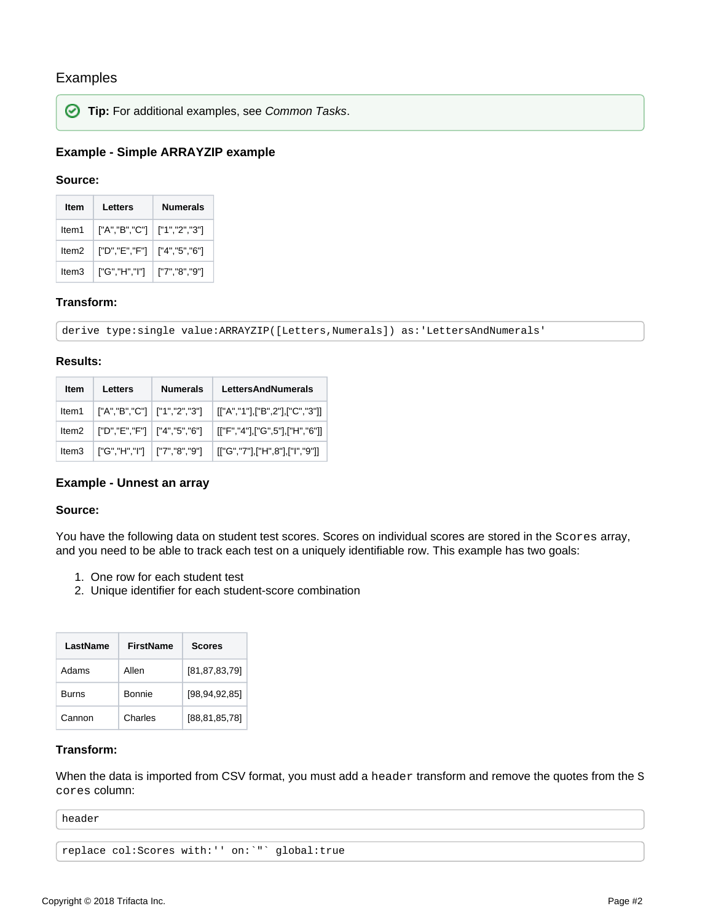## Examples



**Tip:** For additional examples, see [Common Tasks](https://docs.trifacta.com/display/r051/Common+Tasks).

## <span id="page-1-0"></span>**Example - Simple ARRAYZIP example**

### **Source:**

| ltem              | Letters         | <b>Numerals</b> |  |
|-------------------|-----------------|-----------------|--|
| ltem1             | ['A", 'B", 'C'] | ["1","2","3"]   |  |
| ltem <sub>2</sub> | ["D","E","F"]   | ["4","5","6"]   |  |
| ltem3             | ["G","H","I"]   | ["7","8","9"]   |  |

## **Transform:**

derive type:single value:ARRAYZIP([Letters,Numerals]) as:'LettersAndNumerals'

## **Results:**

| Item | Letters | <b>Numerals</b> | <b>LettersAndNumerals</b>                                              |  |
|------|---------|-----------------|------------------------------------------------------------------------|--|
|      |         |                 | ltem1   ["A","B","C"]   ["1","2","3"]   [["A","1"],["B",2"],["C","3"]] |  |
|      |         |                 | ltem2   ["D","E","F"]   ["4","5","6"]   [["F","4"],["G",5"],["H","6"]] |  |
|      |         |                 | ltem3   ["G","H","I"]   ["7","8","9"]   [["G","7"],["H",8"],["I","9"]] |  |

## <span id="page-1-1"></span>**Example - Unnest an array**

### **Source:**

You have the following data on student test scores. Scores on individual scores are stored in the Scores array, and you need to be able to track each test on a uniquely identifiable row. This example has two goals:

- 1. One row for each student test
- 2. Unique identifier for each student-score combination

| LastName     | FirstName | <b>Scores</b>    |  |
|--------------|-----------|------------------|--|
| Adams        | Allen     | [81, 87, 83, 79] |  |
| <b>Burns</b> | Bonnie    | [98, 94, 92, 85] |  |
| Cannon       | Charles   | [88,81,85,78]    |  |

## **Transform:**

When the data is imported from CSV format, you must add a header transform and remove the quotes from the S cores column:

header

```
replace col:Scores with:'' on:`"` global:true
```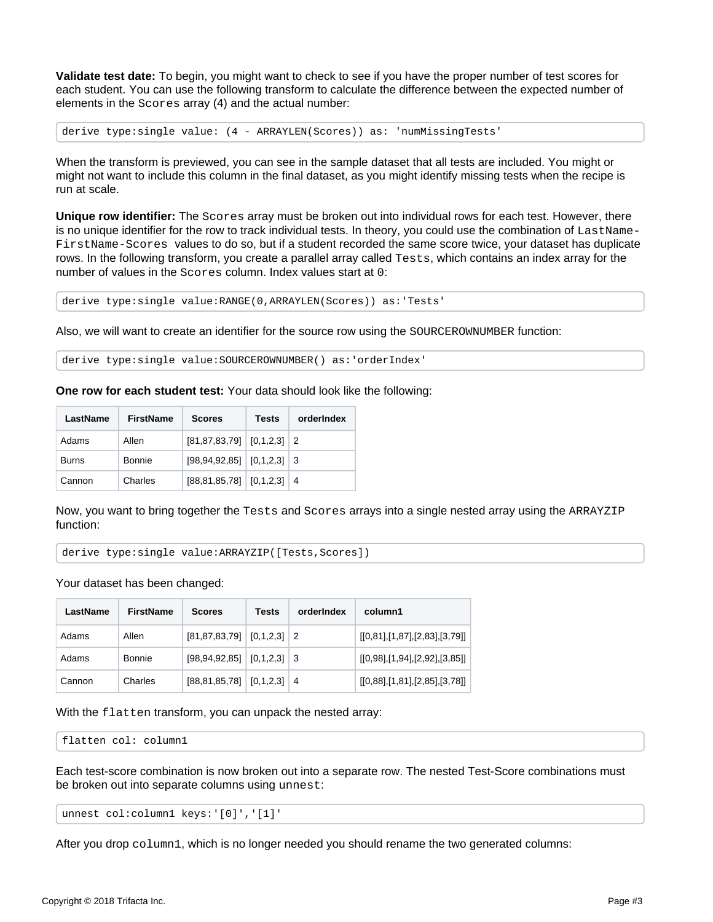**Validate test date:** To begin, you might want to check to see if you have the proper number of test scores for each student. You can use the following transform to calculate the difference between the expected number of elements in the Scores array (4) and the actual number:

derive type:single value: (4 - ARRAYLEN(Scores)) as: 'numMissingTests'

When the transform is previewed, you can see in the sample dataset that all tests are included. You might or might not want to include this column in the final dataset, as you might identify missing tests when the recipe is run at scale.

**Unique row identifier:** The Scores array must be broken out into individual rows for each test. However, there is no unique identifier for the row to track individual tests. In theory, you could use the combination of LastName-FirstName-Scores values to do so, but if a student recorded the same score twice, your dataset has duplicate rows. In the following transform, you create a parallel array called Tests, which contains an index array for the number of values in the Scores column. Index values start at 0:

derive type:single value:RANGE(0,ARRAYLEN(Scores)) as:'Tests'

Also, we will want to create an identifier for the source row using the SOURCEROWNUMBER function:

derive type:single value:SOURCEROWNUMBER() as:'orderIndex'

**One row for each student test:** Your data should look like the following:

| LastName     | <b>FirstName</b> | <b>Scores</b>                       | Tests | orderIndex |
|--------------|------------------|-------------------------------------|-------|------------|
| Adams        | Allen            | $[81, 87, 83, 79]$ $[0, 1, 2, 3]$ 2 |       |            |
| <b>Burns</b> | Bonnie           | $[98, 94, 92, 85]$ $[0, 1, 2, 3]$ 3 |       |            |
| Cannon       | Charles          | $[88, 81, 85, 78]$ $[0, 1, 2, 3]$ 4 |       |            |

Now, you want to bring together the Tests and Scores arrays into a single nested array using the ARRAYZIP function:

derive type:single value:ARRAYZIP([Tests,Scores])

Your dataset has been changed:

| LastName | FirstName | <b>Scores</b>                     | Tests | orderIndex | column1                       |
|----------|-----------|-----------------------------------|-------|------------|-------------------------------|
| Adams    | Allen     | $[81, 87, 83, 79]$ $[0, 1, 2, 3]$ |       |            | [[0,81],[1,87],[2,83],[3,79]] |
| Adams    | Bonnie    | $[98, 94, 92, 85]$ $[0, 1, 2, 3]$ |       | -3         | [[0,98],[1,94],[2,92],[3,85]] |
| Cannon   | Charles   | $[88, 81, 85, 78]$ $[0, 1, 2, 3]$ |       | 4          | [[0,88],[1,81],[2,85],[3,78]] |

With the flatten transform, you can unpack the nested array:

flatten col: column1

Each test-score combination is now broken out into a separate row. The nested Test-Score combinations must be broken out into separate columns using unnest:

unnest col:column1 keys:'[0]','[1]'

After you drop column1, which is no longer needed you should rename the two generated columns: